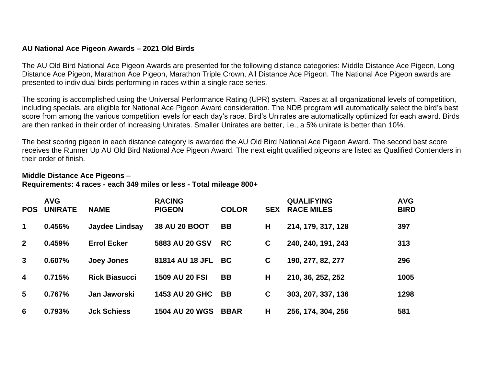## **AU National Ace Pigeon Awards – 2021 Old Birds**

The AU Old Bird National Ace Pigeon Awards are presented for the following distance categories: Middle Distance Ace Pigeon, Long Distance Ace Pigeon, Marathon Ace Pigeon, Marathon Triple Crown, All Distance Ace Pigeon. The National Ace Pigeon awards are presented to individual birds performing in races within a single race series.

The scoring is accomplished using the Universal Performance Rating (UPR) system. Races at all organizational levels of competition, including specials, are eligible for National Ace Pigeon Award consideration. The NDB program will automatically select the bird's best score from among the various competition levels for each day's race. Bird's Unirates are automatically optimized for each award. Birds are then ranked in their order of increasing Unirates. Smaller Unirates are better, i.e., a 5% unirate is better than 10%.

The best scoring pigeon in each distance category is awarded the AU Old Bird National Ace Pigeon Award. The second best score receives the Runner Up AU Old Bird National Ace Pigeon Award. The next eight qualified pigeons are listed as Qualified Contenders in their order of finish.

## **Middle Distance Ace Pigeons –**

## **Requirements: 4 races - each 349 miles or less - Total mileage 800+**

| <b>POS</b>              | <b>AVG</b><br><b>UNIRATE</b> | <b>NAME</b>           | <b>RACING</b><br><b>PIGEON</b> | <b>COLOR</b> | <b>SEX</b> | <b>QUALIFYING</b><br><b>RACE MILES</b> | <b>AVG</b><br><b>BIRD</b> |
|-------------------------|------------------------------|-----------------------|--------------------------------|--------------|------------|----------------------------------------|---------------------------|
| $\mathbf 1$             | 0.456%                       | <b>Jaydee Lindsay</b> | 38 AU 20 BOOT                  | <b>BB</b>    | H          | 214, 179, 317, 128                     | 397                       |
| $\mathbf{2}$            | 0.459%                       | <b>Errol Ecker</b>    | 5883 AU 20 GSV                 | <b>RC</b>    | C          | 240, 240, 191, 243                     | 313                       |
| $\mathbf{3}$            | 0.607%                       | Joey Jones            | 81814 AU 18 JFL BC             |              | C          | 190, 277, 82, 277                      | 296                       |
| $\overline{\mathbf{4}}$ | 0.715%                       | <b>Rick Biasucci</b>  | <b>1509 AU 20 FSI</b>          | <b>BB</b>    | H          | 210, 36, 252, 252                      | 1005                      |
| 5                       | 0.767%                       | Jan Jaworski          | <b>1453 AU 20 GHC</b>          | <b>BB</b>    | C          | 303, 207, 337, 136                     | 1298                      |
| 6                       | 0.793%                       | <b>Jck Schiess</b>    | <b>1504 AU 20 WGS</b>          | <b>BBAR</b>  | Н          | 256, 174, 304, 256                     | 581                       |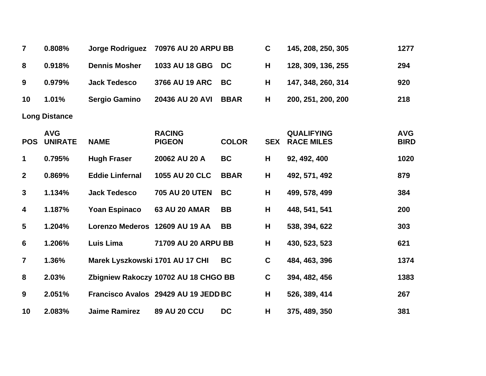| $\overline{7}$          | 0.808%                       | <b>Jorge Rodriguez</b>          | 70976 AU 20 ARPU BB                  |              | $\mathbf C$ | 145, 208, 250, 305                     | 1277                      |
|-------------------------|------------------------------|---------------------------------|--------------------------------------|--------------|-------------|----------------------------------------|---------------------------|
| 8                       | 0.918%                       | <b>Dennis Mosher</b>            | 1033 AU 18 GBG                       | <b>DC</b>    | H           | 128, 309, 136, 255                     | 294                       |
| 9                       | 0.979%                       | <b>Jack Tedesco</b>             | 3766 AU 19 ARC                       | <b>BC</b>    | H           | 147, 348, 260, 314                     | 920                       |
| 10                      | 1.01%                        | <b>Sergio Gamino</b>            | 20436 AU 20 AVI                      | <b>BBAR</b>  | H           | 200, 251, 200, 200                     | 218                       |
|                         | <b>Long Distance</b>         |                                 |                                      |              |             |                                        |                           |
| <b>POS</b>              | <b>AVG</b><br><b>UNIRATE</b> | <b>NAME</b>                     | <b>RACING</b><br><b>PIGEON</b>       | <b>COLOR</b> | <b>SEX</b>  | <b>QUALIFYING</b><br><b>RACE MILES</b> | <b>AVG</b><br><b>BIRD</b> |
| 1                       | 0.795%                       | <b>Hugh Fraser</b>              | 20062 AU 20 A                        | <b>BC</b>    | Н           | 92, 492, 400                           | 1020                      |
| $\mathbf{2}$            | 0.869%                       | <b>Eddie Linfernal</b>          | 1055 AU 20 CLC                       | <b>BBAR</b>  | н           | 492, 571, 492                          | 879                       |
| $\mathbf{3}$            | 1.134%                       | <b>Jack Tedesco</b>             | <b>705 AU 20 UTEN</b>                | <b>BC</b>    | H           | 499, 578, 499                          | 384                       |
| 4                       | 1.187%                       | <b>Yoan Espinaco</b>            | <b>63 AU 20 AMAR</b>                 | <b>BB</b>    | H           | 448, 541, 541                          | 200                       |
| $\overline{\mathbf{5}}$ | 1.204%                       | <b>Lorenzo Mederos</b>          | 12609 AU 19 AA                       | <b>BB</b>    | H           | 538, 394, 622                          | 303                       |
| 6                       | 1.206%                       | <b>Luis Lima</b>                | 71709 AU 20 ARPU BB                  |              | H           | 430, 523, 523                          | 621                       |
| $\overline{\mathbf{7}}$ | 1.36%                        | Marek Lyszkowski 1701 AU 17 CHI |                                      | <b>BC</b>    | C           | 484, 463, 396                          | 1374                      |
| 8                       | 2.03%                        |                                 | Zbigniew Rakoczy 10702 AU 18 CHGO BB |              | C           | 394, 482, 456                          | 1383                      |
| 9                       | 2.051%                       |                                 | Francisco Avalos 29429 AU 19 JEDD BC |              | H           | 526, 389, 414                          | 267                       |
| 10                      | 2.083%                       | <b>Jaime Ramirez</b>            | <b>89 AU 20 CCU</b>                  | <b>DC</b>    | Н           | 375, 489, 350                          | 381                       |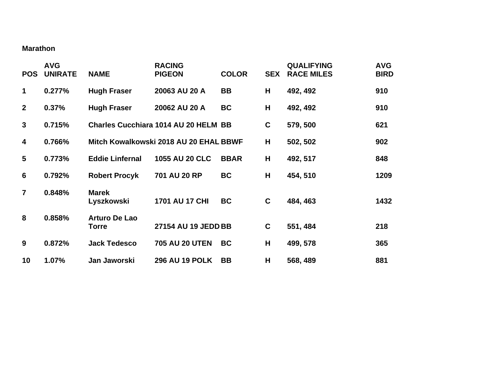## **Marathon**

| <b>POS</b>              | <b>AVG</b><br><b>UNIRATE</b> | <b>NAME</b>                          | <b>RACING</b><br><b>PIGEON</b>              | <b>COLOR</b> | <b>SEX</b>  | <b>QUALIFYING</b><br><b>RACE MILES</b> | <b>AVG</b><br><b>BIRD</b> |
|-------------------------|------------------------------|--------------------------------------|---------------------------------------------|--------------|-------------|----------------------------------------|---------------------------|
| $\mathbf 1$             | 0.277%                       | <b>Hugh Fraser</b>                   | 20063 AU 20 A                               | BB           | H           | 492, 492                               | 910                       |
| $\overline{2}$          | 0.37%                        | <b>Hugh Fraser</b>                   | 20062 AU 20 A                               | <b>BC</b>    | H           | 492, 492                               | 910                       |
| $\mathbf{3}$            | 0.715%                       |                                      | <b>Charles Cucchiara 1014 AU 20 HELM BB</b> |              | $\mathbf c$ | 579, 500                               | 621                       |
| $\overline{\mathbf{4}}$ | 0.766%                       |                                      | Mitch Kowalkowski 2018 AU 20 EHAL BBWF      |              | Н           | 502, 502                               | 902                       |
| 5                       | 0.773%                       | <b>Eddie Linfernal</b>               | <b>1055 AU 20 CLC</b>                       | <b>BBAR</b>  | H           | 492, 517                               | 848                       |
| $6\phantom{1}6$         | 0.792%                       | <b>Robert Procyk</b>                 | 701 AU 20 RP                                | <b>BC</b>    | H           | 454, 510                               | 1209                      |
| $\overline{7}$          | 0.848%                       | <b>Marek</b><br>Lyszkowski           | 1701 AU 17 CHI                              | <b>BC</b>    | $\mathbf c$ | 484, 463                               | 1432                      |
| 8                       | 0.858%                       | <b>Arturo De Lao</b><br><b>Torre</b> | 27154 AU 19 JEDD BB                         |              | $\mathbf C$ | 551, 484                               | 218                       |
| 9                       | 0.872%                       | <b>Jack Tedesco</b>                  | <b>705 AU 20 UTEN</b>                       | <b>BC</b>    | H           | 499, 578                               | 365                       |
| 10                      | 1.07%                        | Jan Jaworski                         | <b>296 AU 19 POLK</b>                       | <b>BB</b>    | H           | 568, 489                               | 881                       |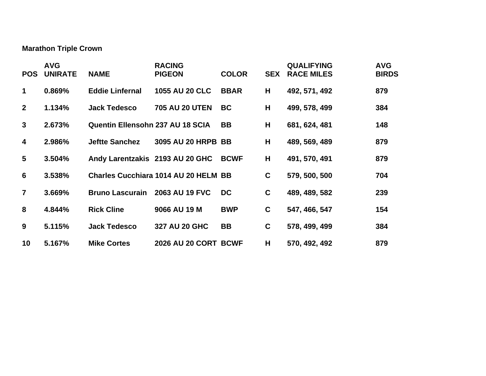**Marathon Triple Crown**

| <b>POS</b>              | <b>AVG</b><br><b>UNIRATE</b> | <b>NAME</b>                             | <b>RACING</b><br><b>PIGEON</b>              | <b>COLOR</b> | <b>SEX</b>  | <b>QUALIFYING</b><br><b>RACE MILES</b> | <b>AVG</b><br><b>BIRDS</b> |
|-------------------------|------------------------------|-----------------------------------------|---------------------------------------------|--------------|-------------|----------------------------------------|----------------------------|
| 1                       | 0.869%                       | <b>Eddie Linfernal</b>                  | <b>1055 AU 20 CLC</b>                       | <b>BBAR</b>  | H           | 492, 571, 492                          | 879                        |
| $\overline{2}$          | 1.134%                       | <b>Jack Tedesco</b>                     | <b>705 AU 20 UTEN</b>                       | <b>BC</b>    | H           | 499, 578, 499                          | 384                        |
| 3                       | 2.673%                       | <b>Quentin Ellensohn 237 AU 18 SCIA</b> |                                             | <b>BB</b>    | H           | 681, 624, 481                          | 148                        |
| $\overline{\mathbf{4}}$ | 2.986%                       | <b>Jeftte Sanchez</b>                   | 3095 AU 20 HRPB BB                          |              | H           | 489, 569, 489                          | 879                        |
| 5                       | 3.504%                       | Andy Larentzakis 2193 AU 20 GHC         |                                             | <b>BCWF</b>  | H           | 491, 570, 491                          | 879                        |
| $6\phantom{1}$          | 3.538%                       |                                         | <b>Charles Cucchiara 1014 AU 20 HELM BB</b> |              | $\mathbf c$ | 579, 500, 500                          | 704                        |
| $\overline{7}$          | 3.669%                       | <b>Bruno Lascurain</b>                  | 2063 AU 19 FVC                              | <b>DC</b>    | $\mathbf c$ | 489, 489, 582                          | 239                        |
| 8                       | 4.844%                       | <b>Rick Cline</b>                       | 9066 AU 19 M                                | <b>BWP</b>   | $\mathbf c$ | 547, 466, 547                          | 154                        |
| 9                       | 5.115%                       | <b>Jack Tedesco</b>                     | 327 AU 20 GHC                               | BB           | $\mathbf c$ | 578, 499, 499                          | 384                        |
| 10                      | 5.167%                       | <b>Mike Cortes</b>                      | <b>2026 AU 20 CORT BCWF</b>                 |              | H           | 570, 492, 492                          | 879                        |